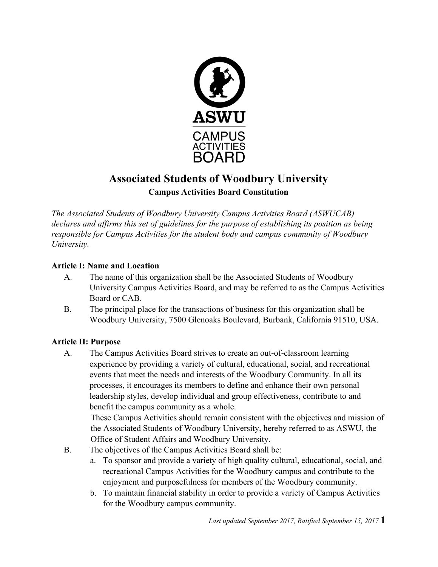

# **Associated Students of Woodbury University Campus Activities Board Constitution**

*The Associated Students of Woodbury University Campus Activities Board (ASWUCAB) declares and affirms this set of guidelines for the purpose of establishing its position as being responsible for Campus Activities for the student body and campus community of Woodbury University.*

## **Article I: Name and Location**

- A. The name of this organization shall be the Associated Students of Woodbury University Campus Activities Board, and may be referred to as the Campus Activities Board or CAB.
- B. The principal place for the transactions of business for this organization shall be Woodbury University, 7500 Glenoaks Boulevard, Burbank, California 91510, USA.

# **Article II: Purpose**

A. The Campus Activities Board strives to create an out-of-classroom learning experience by providing a variety of cultural, educational, social, and recreational events that meet the needs and interests of the Woodbury Community. In all its processes, it encourages its members to define and enhance their own personal leadership styles, develop individual and group effectiveness, contribute to and benefit the campus community as a whole.

These Campus Activities should remain consistent with the objectives and mission of the Associated Students of Woodbury University, hereby referred to as ASWU, the Office of Student Affairs and Woodbury University.

- B. The objectives of the Campus Activities Board shall be:
	- a. To sponsor and provide a variety of high quality cultural, educational, social, and recreational Campus Activities for the Woodbury campus and contribute to the enjoyment and purposefulness for members of the Woodbury community.
	- b. To maintain financial stability in order to provide a variety of Campus Activities for the Woodbury campus community.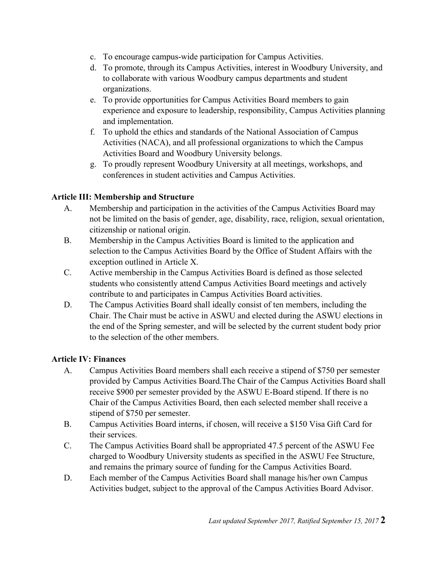- c. To encourage campus-wide participation for Campus Activities.
- d. To promote, through its Campus Activities, interest in Woodbury University, and to collaborate with various Woodbury campus departments and student organizations.
- e. To provide opportunities for Campus Activities Board members to gain experience and exposure to leadership, responsibility, Campus Activities planning and implementation.
- f. To uphold the ethics and standards of the National Association of Campus Activities (NACA), and all professional organizations to which the Campus Activities Board and Woodbury University belongs.
- g. To proudly represent Woodbury University at all meetings, workshops, and conferences in student activities and Campus Activities.

## **Article III: Membership and Structure**

- A. Membership and participation in the activities of the Campus Activities Board may not be limited on the basis of gender, age, disability, race, religion, sexual orientation, citizenship or national origin.
- B. Membership in the Campus Activities Board is limited to the application and selection to the Campus Activities Board by the Office of Student Affairs with the exception outlined in Article X.
- C. Active membership in the Campus Activities Board is defined as those selected students who consistently attend Campus Activities Board meetings and actively contribute to and participates in Campus Activities Board activities.
- D. The Campus Activities Board shall ideally consist of ten members, including the Chair. The Chair must be active in ASWU and elected during the ASWU elections in the end of the Spring semester, and will be selected by the current student body prior to the selection of the other members.

## **Article IV: Finances**

- A. Campus Activities Board members shall each receive a stipend of \$750 per semester provided by Campus Activities Board.The Chair of the Campus Activities Board shall receive \$900 per semester provided by the ASWU E-Board stipend. If there is no Chair of the Campus Activities Board, then each selected member shall receive a stipend of \$750 per semester.
- B. Campus Activities Board interns, if chosen, will receive a \$150 Visa Gift Card for their services.
- C. The Campus Activities Board shall be appropriated 47.5 percent of the ASWU Fee charged to Woodbury University students as specified in the ASWU Fee Structure, and remains the primary source of funding for the Campus Activities Board.
- D. Each member of the Campus Activities Board shall manage his/her own Campus Activities budget, subject to the approval of the Campus Activities Board Advisor.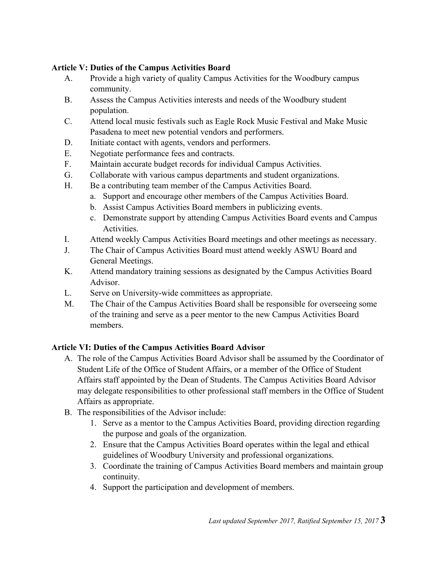## **Article V: Duties of the Campus Activities Board**

- A. Provide a high variety of quality Campus Activities for the Woodbury campus community.
- B. Assess the Campus Activities interests and needs of the Woodbury student population.
- C. Attend local music festivals such as Eagle Rock Music Festival and Make Music Pasadena to meet new potential vendors and performers.
- D. Initiate contact with agents, vendors and performers.
- E. Negotiate performance fees and contracts.
- F. Maintain accurate budget records for individual Campus Activities.
- G. Collaborate with various campus departments and student organizations.
- H. Be a contributing team member of the Campus Activities Board.
	- a. Support and encourage other members of the Campus Activities Board.
	- b. Assist Campus Activities Board members in publicizing events.
	- c. Demonstrate support by attending Campus Activities Board events and Campus Activities.
- I. Attend weekly Campus Activities Board meetings and other meetings as necessary.
- J. The Chair of Campus Activities Board must attend weekly ASWU Board and General Meetings.
- K. Attend mandatory training sessions as designated by the Campus Activities Board Advisor.
- L. Serve on University-wide committees as appropriate.
- M. The Chair of the Campus Activities Board shall be responsible for overseeing some of the training and serve as a peer mentor to the new Campus Activities Board members.

## **Article VI: Duties of the Campus Activities Board Advisor**

- A. The role of the Campus Activities Board Advisor shall be assumed by the Coordinator of Student Life of the Office of Student Affairs, or a member of the Office of Student Affairs staff appointed by the Dean of Students. The Campus Activities Board Advisor may delegate responsibilities to other professional staff members in the Office of Student Affairs as appropriate.
- B. The responsibilities of the Advisor include:
	- 1. Serve as a mentor to the Campus Activities Board, providing direction regarding the purpose and goals of the organization.
	- 2. Ensure that the Campus Activities Board operates within the legal and ethical guidelines of Woodbury University and professional organizations.
	- 3. Coordinate the training of Campus Activities Board members and maintain group continuity.
	- 4. Support the participation and development of members.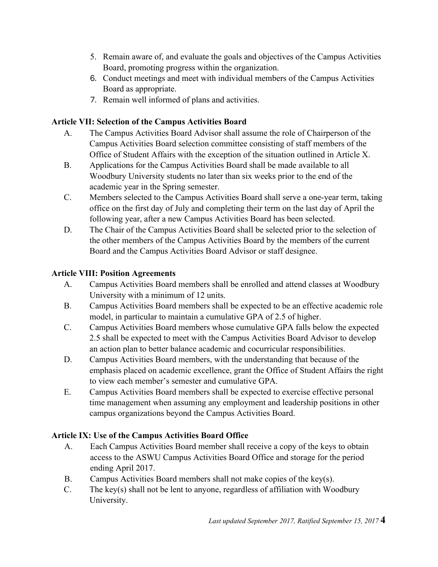- 5. Remain aware of, and evaluate the goals and objectives of the Campus Activities Board, promoting progress within the organization.
- 6. Conduct meetings and meet with individual members of the Campus Activities Board as appropriate.
- 7. Remain well informed of plans and activities.

# **Article VII: Selection of the Campus Activities Board**

- A. The Campus Activities Board Advisor shall assume the role of Chairperson of the Campus Activities Board selection committee consisting of staff members of the Office of Student Affairs with the exception of the situation outlined in Article X.
- B. Applications for the Campus Activities Board shall be made available to all Woodbury University students no later than six weeks prior to the end of the academic year in the Spring semester.
- C. Members selected to the Campus Activities Board shall serve a one-year term, taking office on the first day of July and completing their term on the last day of April the following year, after a new Campus Activities Board has been selected.
- D. The Chair of the Campus Activities Board shall be selected prior to the selection of the other members of the Campus Activities Board by the members of the current Board and the Campus Activities Board Advisor or staff designee.

# **Article VIII: Position Agreements**

- A. Campus Activities Board members shall be enrolled and attend classes at Woodbury University with a minimum of 12 units.
- B. Campus Activities Board members shall be expected to be an effective academic role model, in particular to maintain a cumulative GPA of 2.5 of higher.
- C. Campus Activities Board members whose cumulative GPA falls below the expected 2.5 shall be expected to meet with the Campus Activities Board Advisor to develop an action plan to better balance academic and cocurricular responsibilities.
- D. Campus Activities Board members, with the understanding that because of the emphasis placed on academic excellence, grant the Office of Student Affairs the right to view each member's semester and cumulative GPA.
- E. Campus Activities Board members shall be expected to exercise effective personal time management when assuming any employment and leadership positions in other campus organizations beyond the Campus Activities Board.

# **Article IX: Use of the Campus Activities Board Office**

- A. Each Campus Activities Board member shall receive a copy of the keys to obtain access to the ASWU Campus Activities Board Office and storage for the period ending April 2017.
- B. Campus Activities Board members shall not make copies of the key(s).
- C. The key(s) shall not be lent to anyone, regardless of affiliation with Woodbury University.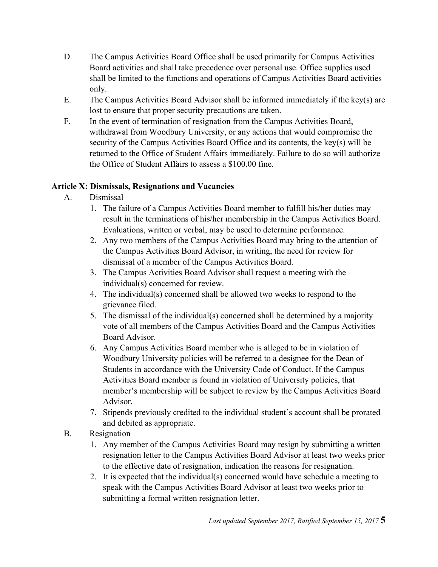- D. The Campus Activities Board Office shall be used primarily for Campus Activities Board activities and shall take precedence over personal use. Office supplies used shall be limited to the functions and operations of Campus Activities Board activities only.
- E. The Campus Activities Board Advisor shall be informed immediately if the key(s) are lost to ensure that proper security precautions are taken.
- F. In the event of termination of resignation from the Campus Activities Board, withdrawal from Woodbury University, or any actions that would compromise the security of the Campus Activities Board Office and its contents, the key(s) will be returned to the Office of Student Affairs immediately. Failure to do so will authorize the Office of Student Affairs to assess a \$100.00 fine.

# **Article X: Dismissals, Resignations and Vacancies**

- A. Dismissal
	- 1. The failure of a Campus Activities Board member to fulfill his/her duties may result in the terminations of his/her membership in the Campus Activities Board. Evaluations, written or verbal, may be used to determine performance.
	- 2. Any two members of the Campus Activities Board may bring to the attention of the Campus Activities Board Advisor, in writing, the need for review for dismissal of a member of the Campus Activities Board.
	- 3. The Campus Activities Board Advisor shall request a meeting with the individual(s) concerned for review.
	- 4. The individual(s) concerned shall be allowed two weeks to respond to the grievance filed.
	- 5. The dismissal of the individual(s) concerned shall be determined by a majority vote of all members of the Campus Activities Board and the Campus Activities Board Advisor.
	- 6. Any Campus Activities Board member who is alleged to be in violation of Woodbury University policies will be referred to a designee for the Dean of Students in accordance with the University Code of Conduct. If the Campus Activities Board member is found in violation of University policies, that member's membership will be subject to review by the Campus Activities Board Advisor.
	- 7. Stipends previously credited to the individual student's account shall be prorated and debited as appropriate.
- B. Resignation
	- 1. Any member of the Campus Activities Board may resign by submitting a written resignation letter to the Campus Activities Board Advisor at least two weeks prior to the effective date of resignation, indication the reasons for resignation.
	- 2. It is expected that the individual(s) concerned would have schedule a meeting to speak with the Campus Activities Board Advisor at least two weeks prior to submitting a formal written resignation letter.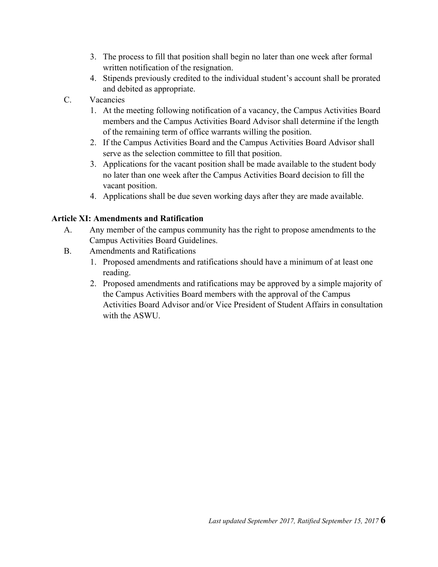- 3. The process to fill that position shall begin no later than one week after formal written notification of the resignation.
- 4. Stipends previously credited to the individual student's account shall be prorated and debited as appropriate.
- C. Vacancies
	- 1. At the meeting following notification of a vacancy, the Campus Activities Board members and the Campus Activities Board Advisor shall determine if the length of the remaining term of office warrants willing the position.
	- 2. If the Campus Activities Board and the Campus Activities Board Advisor shall serve as the selection committee to fill that position.
	- 3. Applications for the vacant position shall be made available to the student body no later than one week after the Campus Activities Board decision to fill the vacant position.
	- 4. Applications shall be due seven working days after they are made available.

## **Article XI: Amendments and Ratification**

- A. Any member of the campus community has the right to propose amendments to the Campus Activities Board Guidelines.
- B. Amendments and Ratifications
	- 1. Proposed amendments and ratifications should have a minimum of at least one reading.
	- 2. Proposed amendments and ratifications may be approved by a simple majority of the Campus Activities Board members with the approval of the Campus Activities Board Advisor and/or Vice President of Student Affairs in consultation with the ASWU.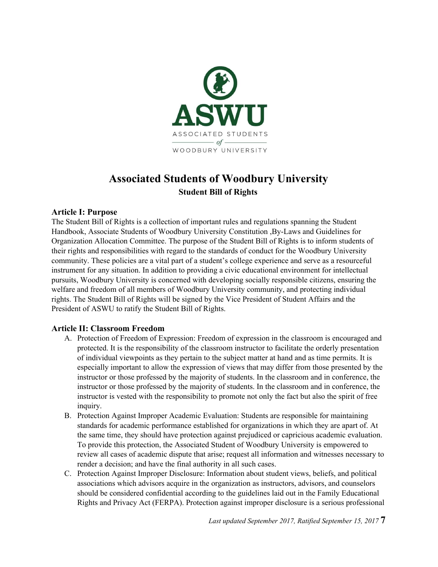

# **Associated Students of Woodbury University Student Bill of Rights**

#### **Article I: Purpose**

The Student Bill of Rights is a collection of important rules and regulations spanning the Student Handbook, Associate Students of Woodbury University Constitution ,By-Laws and Guidelines for Organization Allocation Committee. The purpose of the Student Bill of Rights is to inform students of their rights and responsibilities with regard to the standards of conduct for the Woodbury University community. These policies are a vital part of a student's college experience and serve as a resourceful instrument for any situation. In addition to providing a civic educational environment for intellectual pursuits, Woodbury University is concerned with developing socially responsible citizens, ensuring the welfare and freedom of all members of Woodbury University community, and protecting individual rights. The Student Bill of Rights will be signed by the Vice President of Student Affairs and the President of ASWU to ratify the Student Bill of Rights.

#### **Article II: Classroom Freedom**

- A. Protection of Freedom of Expression: Freedom of expression in the classroom is encouraged and protected. It is the responsibility of the classroom instructor to facilitate the orderly presentation of individual viewpoints as they pertain to the subject matter at hand and as time permits. It is especially important to allow the expression of views that may differ from those presented by the instructor or those professed by the majority of students. In the classroom and in conference, the instructor or those professed by the majority of students. In the classroom and in conference, the instructor is vested with the responsibility to promote not only the fact but also the spirit of free inquiry.
- B. Protection Against Improper Academic Evaluation: Students are responsible for maintaining standards for academic performance established for organizations in which they are apart of. At the same time, they should have protection against prejudiced or capricious academic evaluation. To provide this protection, the Associated Student of Woodbury University is empowered to review all cases of academic dispute that arise; request all information and witnesses necessary to render a decision; and have the final authority in all such cases.
- C. Protection Against Improper Disclosure: Information about student views, beliefs, and political associations which advisors acquire in the organization as instructors, advisors, and counselors should be considered confidential according to the guidelines laid out in the Family Educational Rights and Privacy Act (FERPA). Protection against improper disclosure is a serious professional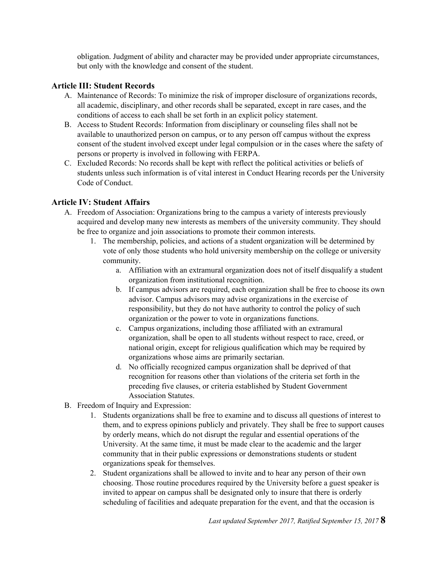obligation. Judgment of ability and character may be provided under appropriate circumstances, but only with the knowledge and consent of the student.

### **Article III: Student Records**

- A. Maintenance of Records: To minimize the risk of improper disclosure of organizations records, all academic, disciplinary, and other records shall be separated, except in rare cases, and the conditions of access to each shall be set forth in an explicit policy statement.
- B. Access to Student Records: Information from disciplinary or counseling files shall not be available to unauthorized person on campus, or to any person off campus without the express consent of the student involved except under legal compulsion or in the cases where the safety of persons or property is involved in following with FERPA.
- C. Excluded Records: No records shall be kept with reflect the political activities or beliefs of students unless such information is of vital interest in Conduct Hearing records per the University Code of Conduct.

### **Article IV: Student Affairs**

- A. Freedom of Association: Organizations bring to the campus a variety of interests previously acquired and develop many new interests as members of the university community. They should be free to organize and join associations to promote their common interests.
	- 1. The membership, policies, and actions of a student organization will be determined by vote of only those students who hold university membership on the college or university community.
		- a. Affiliation with an extramural organization does not of itself disqualify a student organization from institutional recognition.
		- b. If campus advisors are required, each organization shall be free to choose its own advisor. Campus advisors may advise organizations in the exercise of responsibility, but they do not have authority to control the policy of such organization or the power to vote in organizations functions.
		- c. Campus organizations, including those affiliated with an extramural organization, shall be open to all students without respect to race, creed, or national origin, except for religious qualification which may be required by organizations whose aims are primarily sectarian.
		- d. No officially recognized campus organization shall be deprived of that recognition for reasons other than violations of the criteria set forth in the preceding five clauses, or criteria established by Student Government Association Statutes.
- B. Freedom of Inquiry and Expression:
	- 1. Students organizations shall be free to examine and to discuss all questions of interest to them, and to express opinions publicly and privately. They shall be free to support causes by orderly means, which do not disrupt the regular and essential operations of the University. At the same time, it must be made clear to the academic and the larger community that in their public expressions or demonstrations students or student organizations speak for themselves.
	- 2. Student organizations shall be allowed to invite and to hear any person of their own choosing. Those routine procedures required by the University before a guest speaker is invited to appear on campus shall be designated only to insure that there is orderly scheduling of facilities and adequate preparation for the event, and that the occasion is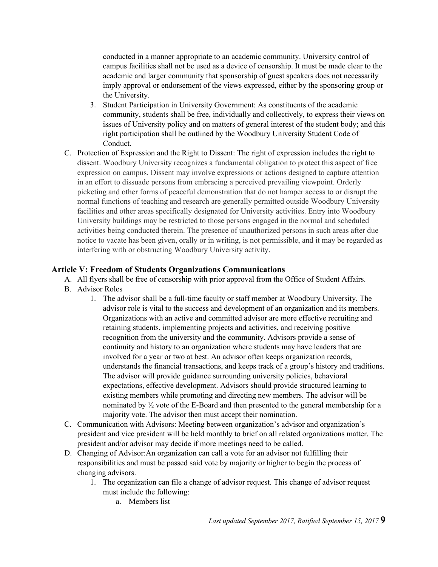conducted in a manner appropriate to an academic community. University control of campus facilities shall not be used as a device of censorship. It must be made clear to the academic and larger community that sponsorship of guest speakers does not necessarily imply approval or endorsement of the views expressed, either by the sponsoring group or the University.

- 3. Student Participation in University Government: As constituents of the academic community, students shall be free, individually and collectively, to express their views on issues of University policy and on matters of general interest of the student body; and this right participation shall be outlined by the Woodbury University Student Code of Conduct.
- C. Protection of Expression and the Right to Dissent: The right of expression includes the right to dissent. Woodbury University recognizes a fundamental obligation to protect this aspect of free expression on campus. Dissent may involve expressions or actions designed to capture attention in an effort to dissuade persons from embracing a perceived prevailing viewpoint. Orderly picketing and other forms of peaceful demonstration that do not hamper access to or disrupt the normal functions of teaching and research are generally permitted outside Woodbury University facilities and other areas specifically designated for University activities. Entry into Woodbury University buildings may be restricted to those persons engaged in the normal and scheduled activities being conducted therein. The presence of unauthorized persons in such areas after due notice to vacate has been given, orally or in writing, is not permissible, and it may be regarded as interfering with or obstructing Woodbury University activity.

### **Article V: Freedom of Students Organizations Communications**

- A. All flyers shall be free of censorship with prior approval from the Office of Student Affairs.
- B. Advisor Roles
	- 1. The advisor shall be a full-time faculty or staff member at Woodbury University. The advisor role is vital to the success and development of an organization and its members. Organizations with an active and committed advisor are more effective recruiting and retaining students, implementing projects and activities, and receiving positive recognition from the university and the community. Advisors provide a sense of continuity and history to an organization where students may have leaders that are involved for a year or two at best. An advisor often keeps organization records, understands the financial transactions, and keeps track of a group's history and traditions. The advisor will provide guidance surrounding university policies, behavioral expectations, effective development. Advisors should provide structured learning to existing members while promoting and directing new members. The advisor will be nominated by ½ vote of the E-Board and then presented to the general membership for a majority vote. The advisor then must accept their nomination.
- C. Communication with Advisors: Meeting between organization's advisor and organization's president and vice president will be held monthly to brief on all related organizations matter. The president and/or advisor may decide if more meetings need to be called.
- D. Changing of Advisor:An organization can call a vote for an advisor not fulfilling their responsibilities and must be passed said vote by majority or higher to begin the process of changing advisors.
	- 1. The organization can file a change of advisor request. This change of advisor request must include the following:
		- a. Members list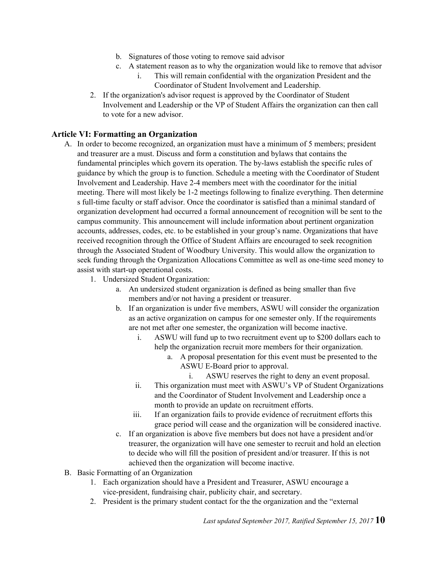- b. Signatures of those voting to remove said advisor
- c. A statement reason as to why the organization would like to remove that advisor
	- i. This will remain confidential with the organization President and the Coordinator of Student Involvement and Leadership.
- 2. If the organization's advisor request is approved by the Coordinator of Student Involvement and Leadership or the VP of Student Affairs the organization can then call to vote for a new advisor.

### **Article VI: Formatting an Organization**

- A. In order to become recognized, an organization must have a minimum of 5 members; president and treasurer are a must. Discuss and form a constitution and bylaws that contains the fundamental principles which govern its operation. The by-laws establish the specific rules of guidance by which the group is to function. Schedule a meeting with the Coordinator of Student Involvement and Leadership. Have 2-4 members meet with the coordinator for the initial meeting. There will most likely be 1-2 meetings following to finalize everything. Then determine s full-time faculty or staff advisor. Once the coordinator is satisfied than a minimal standard of organization development had occurred a formal announcement of recognition will be sent to the campus community. This announcement will include information about pertinent organization accounts, addresses, codes, etc. to be established in your group's name. Organizations that have received recognition through the Office of Student Affairs are encouraged to seek recognition through the Associated Student of Woodbury University. This would allow the organization to seek funding through the Organization Allocations Committee as well as one-time seed money to assist with start-up operational costs.
	- 1. Undersized Student Organization:
		- a. An undersized student organization is defined as being smaller than five members and/or not having a president or treasurer.
		- b. If an organization is under five members, ASWU will consider the organization as an active organization on campus for one semester only. If the requirements are not met after one semester, the organization will become inactive.
			- i. ASWU will fund up to two recruitment event up to \$200 dollars each to help the organization recruit more members for their organization.
				- a. A proposal presentation for this event must be presented to the ASWU E-Board prior to approval.
					- i. ASWU reserves the right to deny an event proposal.
			- ii. This organization must meet with ASWU's VP of Student Organizations and the Coordinator of Student Involvement and Leadership once a month to provide an update on recruitment efforts.
			- iii. If an organization fails to provide evidence of recruitment efforts this grace period will cease and the organization will be considered inactive.
		- c. If an organization is above five members but does not have a president and/or treasurer, the organization will have one semester to recruit and hold an election to decide who will fill the position of president and/or treasurer. If this is not achieved then the organization will become inactive.
- B. Basic Formatting of an Organization
	- 1. Each organization should have a President and Treasurer, ASWU encourage a vice-president, fundraising chair, publicity chair, and secretary.
	- 2. President is the primary student contact for the the organization and the "external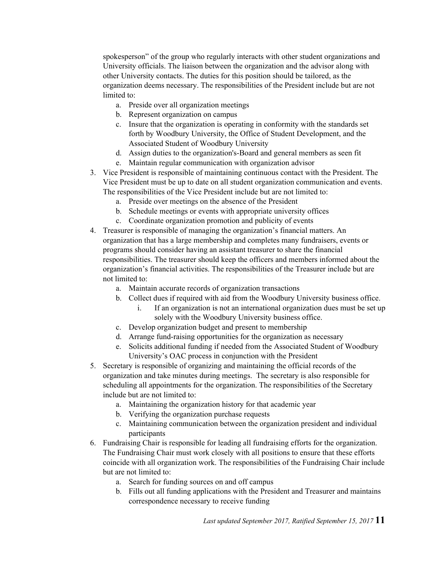spokesperson" of the group who regularly interacts with other student organizations and University officials. The liaison between the organization and the advisor along with other University contacts. The duties for this position should be tailored, as the organization deems necessary. The responsibilities of the President include but are not limited to:

- a. Preside over all organization meetings
- b. Represent organization on campus
- c. Insure that the organization is operating in conformity with the standards set forth by Woodbury University, the Office of Student Development, and the Associated Student of Woodbury University
- d. Assign duties to the organization's-Board and general members as seen fit
- e. Maintain regular communication with organization advisor
- 3. Vice President is responsible of maintaining continuous contact with the President. The Vice President must be up to date on all student organization communication and events. The responsibilities of the Vice President include but are not limited to:
	- a. Preside over meetings on the absence of the President
	- b. Schedule meetings or events with appropriate university offices
	- c. Coordinate organization promotion and publicity of events
- 4. Treasurer is responsible of managing the organization's financial matters. An organization that has a large membership and completes many fundraisers, events or programs should consider having an assistant treasurer to share the financial responsibilities. The treasurer should keep the officers and members informed about the organization's financial activities. The responsibilities of the Treasurer include but are not limited to:
	- a. Maintain accurate records of organization transactions
	- b. Collect dues if required with aid from the Woodbury University business office.
		- i. If an organization is not an international organization dues must be set up solely with the Woodbury University business office.
	- c. Develop organization budget and present to membership
	- d. Arrange fund-raising opportunities for the organization as necessary
	- e. Solicits additional funding if needed from the Associated Student of Woodbury University's OAC process in conjunction with the President
- 5. Secretary is responsible of organizing and maintaining the official records of the organization and take minutes during meetings. The secretary is also responsible for scheduling all appointments for the organization. The responsibilities of the Secretary include but are not limited to:
	- a. Maintaining the organization history for that academic year
	- b. Verifying the organization purchase requests
	- c. Maintaining communication between the organization president and individual participants
- 6. Fundraising Chair is responsible for leading all fundraising efforts for the organization. The Fundraising Chair must work closely with all positions to ensure that these efforts coincide with all organization work. The responsibilities of the Fundraising Chair include but are not limited to:
	- a. Search for funding sources on and off campus
	- b. Fills out all funding applications with the President and Treasurer and maintains correspondence necessary to receive funding